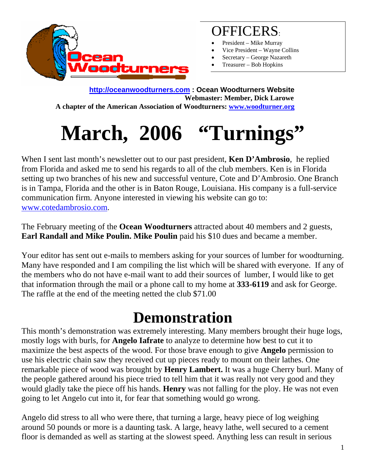

#### OFFICERS:

- President Mike Murray
- Vice President Wayne Collins
- Secretary George Nazareth
- Treasurer Bob Hopkins

**[http://oceanwoodturners.com](http://oceanwoodturners.com/) : Ocean Woodturners Website Webmaster: Member, Dick Larowe A chapter of the American Association of Woodturners: [www.woodturner.org](http://www.woodturner.org/)** 

# **March, 2006 "Turnings"**

When I sent last month's newsletter out to our past president, **Ken D'Ambrosio**, he replied from Florida and asked me to send his regards to all of the club members. Ken is in Florida setting up two branches of his new and successful venture, Cote and D'Ambrosio. One Branch is in Tampa, Florida and the other is in Baton Rouge, Louisiana. His company is a full-service communication firm. Anyone interested in viewing his website can go to: [www.cotedambrosio.com.](http://www.cotedambrosio.com/)

The February meeting of the **Ocean Woodturners** attracted about 40 members and 2 guests, **Earl Randall and Mike Poulin. Mike Poulin** paid his \$10 dues and became a member.

Your editor has sent out e-mails to members asking for your sources of lumber for woodturning. Many have responded and I am compiling the list which will be shared with everyone. If any of the members who do not have e-mail want to add their sources of lumber, I would like to get that information through the mail or a phone call to my home at **333-6119** and ask for George. The raffle at the end of the meeting netted the club \$71.00

### **Demonstration**

This month's demonstration was extremely interesting. Many members brought their huge logs, mostly logs with burls, for **Angelo Iafrate** to analyze to determine how best to cut it to maximize the best aspects of the wood. For those brave enough to give **Angelo** permission to use his electric chain saw they received cut up pieces ready to mount on their lathes. One remarkable piece of wood was brought by **Henry Lambert.** It was a huge Cherry burl. Many of the people gathered around his piece tried to tell him that it was really not very good and they would gladly take the piece off his hands. **Henry** was not falling for the ploy. He was not even going to let Angelo cut into it, for fear that something would go wrong.

Angelo did stress to all who were there, that turning a large, heavy piece of log weighing around 50 pounds or more is a daunting task. A large, heavy lathe, well secured to a cement floor is demanded as well as starting at the slowest speed. Anything less can result in serious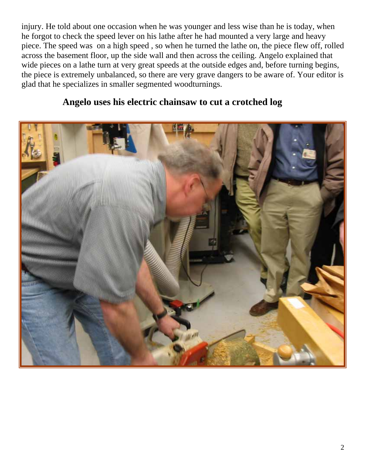injury. He told about one occasion when he was younger and less wise than he is today, when he forgot to check the speed lever on his lathe after he had mounted a very large and heavy piece. The speed was on a high speed , so when he turned the lathe on, the piece flew off, rolled across the basement floor, up the side wall and then across the ceiling. Angelo explained that wide pieces on a lathe turn at very great speeds at the outside edges and, before turning begins, the piece is extremely unbalanced, so there are very grave dangers to be aware of. Your editor is glad that he specializes in smaller segmented woodturnings.



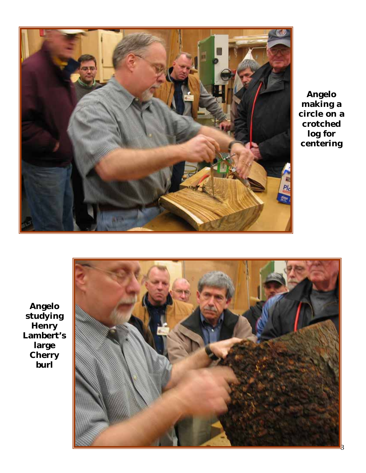

**Angelo making a circle on a crotched log for centering** 



**Angelo studying Henry Lambert's large Cherry burl**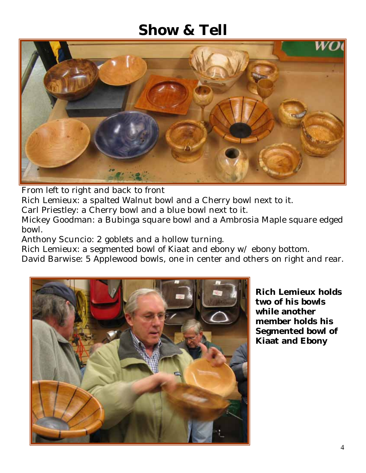#### **Show & Tell**



From left to right and back to front

Rich Lemieux: a spalted Walnut bowl and a Cherry bowl next to it.

Carl Priestley: a Cherry bowl and a blue bowl next to it.

Mickey Goodman: a Bubinga square bowl and a Ambrosia Maple square edged bowl.

Anthony Scuncio: 2 goblets and a hollow turning.

Rich Lemieux: a segmented bowl of Kiaat and ebony w/ ebony bottom.

David Barwise: 5 Applewood bowls, one in center and others on right and rear.



**Rich Lemieux holds two of his bowls while another member holds his Segmented bowl of Kiaat and Ebony**